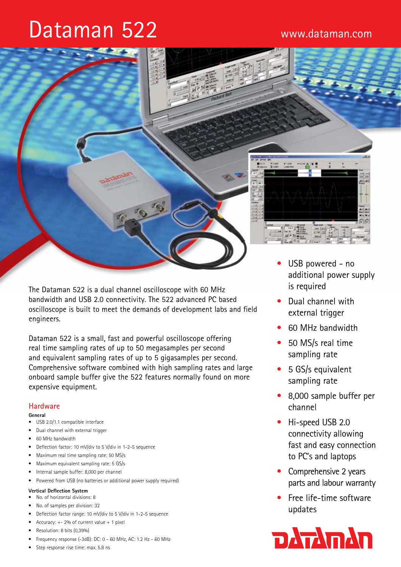# Dataman 522



Dataman 522 is a small, fast and powerful oscilloscope offering real time sampling rates of up to 50 megasamples per second and equivalent sampling rates of up to 5 gigasamples per second. Comprehensive software combined with high sampling rates and large onboard sample buffer give the 522 features normally found on more expensive equipment.

# **Hardware**

#### **General**

- USB 2.0/1.1 compatible interface
- • Dual channel with external trigger
- 60 MHz bandwidth
- Deflection factor: 10 mV/div to 5 V/div in 1-2-5 sequence
- Maximum real time sampling rate: 50 MS/s
- Maximum equivalent sampling rate: 5 GS/s
- Internal sample buffer: 8,000 per channel
- Powered from USB (no batteries or additional power supply required)

### **Vertical Deflection System**

- • No. of horizontal divisions: 8
- No. of samples per division: 32
- Deflection factor range: 10 mV/div to 5 V/div in 1-2-5 sequence
- Accuracy:  $+- 2%$  of current value  $+ 1$  pixel
- Resolution: 8 bits (0,39%)
- • Frequency response (-3dB): DC: 0 60 MHz, AC: 1.2 Hz 60 MHz
- • Step response rise time: max. 5.8 ns



- USB powered no additional power supply is required
- Dual channel with external trigger
- 60 MHz bandwidth
- 50 MS/s real time sampling rate
- 5 GS/s equivalent sampling rate
- 8,000 sample buffer per channel
- Hi-speed USB 2.0 connectivity allowing fast and easy connection to PC's and laptops
- Comprehensive 2 years parts and labour warranty
- Free life-time software updates